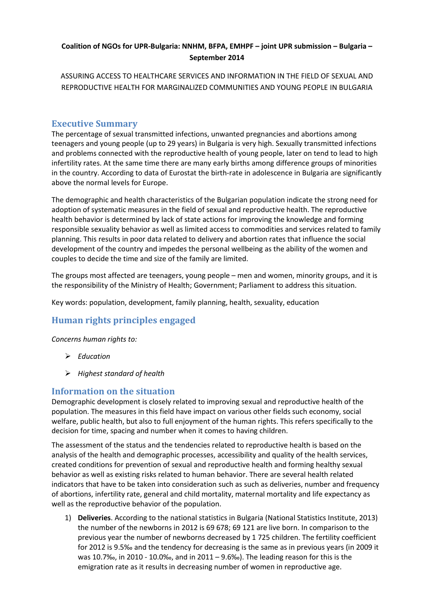#### **Coalition of NGOs for UPR-Bulgaria: NNHM, BFPA, EMHPF – joint UPR submission – Bulgaria – September 2014**

ASSURING ACCESS TO HEALTHCARE SERVICES AND INFORMATION IN THE FIELD OF SEXUAL AND REPRODUCTIVE HEALTH FOR MARGINALIZED COMMUNITIES AND YOUNG PEOPLE IN BULGARIA

#### **Executive Summary**

The percentage of sexual transmitted infections, unwanted pregnancies and abortions among teenagers and young people (up to 29 years) in Bulgaria is very high. Sexually transmitted infections and problems connected with the reproductive health of young people, later on tend to lead to high infertility rates. At the same time there are many early births among difference groups of minorities in the country. According to data of Eurostat the birth-rate in adolescence in Bulgaria are significantly above the normal levels for Europe.

The demographic and health characteristics of the Bulgarian population indicate the strong need for adoption of systematic measures in the field of sexual and reproductive health. The reproductive health behavior is determined by lack of state actions for improving the knowledge and forming responsible sexuality behavior as well as limited access to commodities and services related to family planning. This results in poor data related to delivery and abortion rates that influence the social development of the country and impedes the personal wellbeing as the ability of the women and couples to decide the time and size of the family are limited.

The groups most affected are teenagers, young people – men and women, minority groups, and it is the responsibility of the Ministry of Health; Government; Parliament to address this situation.

Key words: population, development, family planning, health, sexuality, education

# **Human rights principles engaged**

*Concerns human rights to:*

- *Education*
- *Highest standard of health*

#### **Information on the situation**

Demographic development is closely related to improving sexual and reproductive health of the population. The measures in this field have impact on various other fields such economy, social welfare, public health, but also to full enjoyment of the human rights. This refers specifically to the decision for time, spacing and number when it comes to having children.

The assessment of the status and the tendencies related to reproductive health is based on the analysis of the health and demographic processes, accessibility and quality of the health services, created conditions for prevention of sexual and reproductive health and forming healthy sexual behavior as well as existing risks related to human behavior. There are several health related indicators that have to be taken into consideration such as such as deliveries, number and frequency of abortions, infertility rate, general and child mortality, maternal mortality and life expectancy as well as the reproductive behavior of the population.

1) **Deliveries**. According to the national statistics in Bulgaria (National Statistics Institute, 2013) the number of the newborns in 2012 is 69 678; 69 121 are live born. In comparison to the previous year the number of newborns decreased by 1 725 children. The fertility coefficient for 2012 is 9.5‰ and the tendency for decreasing is the same as in previous years (in 2009 it was 10.7‰, in 2010 - 10.0‰, and in 2011 – 9.6‰). The leading reason for this is the emigration rate as it results in decreasing number of women in reproductive age.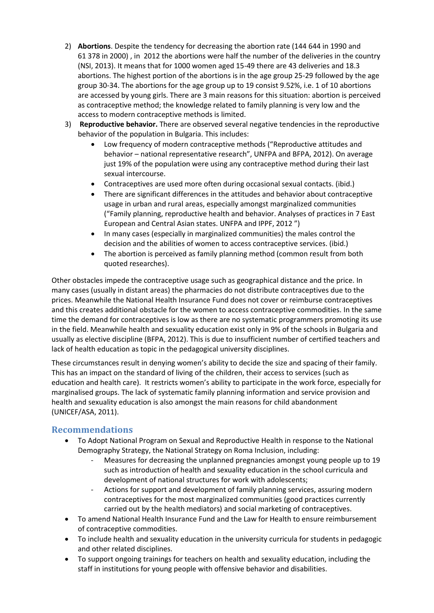- 2) **Abortions**. Despite the tendency for decreasing the abortion rate (144 644 in 1990 and 61 378 in 2000) , in 2012 the abortions were half the number of the deliveries in the country (NSI, 2013). It means that for 1000 women aged 15-49 there are 43 deliveries and 18.3 abortions. The highest portion of the abortions is in the age group 25-29 followed by the age group 30-34. The abortions for the age group up to 19 consist 9.52%, i.e. 1 of 10 abortions are accessed by young girls. There are 3 main reasons for this situation: abortion is perceived as contraceptive method; the knowledge related to family planning is very low and the access to modern contraceptive methods is limited.
- 3) **Reproductive behavior.** There are observed several negative tendencies in the reproductive behavior of the population in Bulgaria. This includes:
	- Low frequency of modern contraceptive methods ("Reproductive attitudes and behavior – national representative research", UNFPA and BFPA, 2012). On average just 19% of the population were using any contraceptive method during their last sexual intercourse.
	- Contraceptives are used more often during occasional sexual contacts. (ibid.)
	- There are significant differences in the attitudes and behavior about contraceptive usage in urban and rural areas, especially amongst marginalized communities ("Family planning, reproductive health and behavior. Analyses of practices in 7 East European and Central Asian states. UNFPA and IPPF, 2012 ")
	- In many cases (especially in marginalized communities) the males control the decision and the abilities of women to access contraceptive services. (ibid.)
	- The abortion is perceived as family planning method (common result from both quoted researches).

Other obstacles impede the contraceptive usage such as geographical distance and the price. In many cases (usually in distant areas) the pharmacies do not distribute contraceptives due to the prices. Meanwhile the National Health Insurance Fund does not cover or reimburse contraceptives and this creates additional obstacle for the women to access contraceptive commodities. In the same time the demand for contraceptives is low as there are no systematic programmers promoting its use in the field. Meanwhile health and sexuality education exist only in 9% of the schools in Bulgaria and usually as elective discipline (BFPA, 2012). This is due to insufficient number of certified teachers and lack of health education as topic in the pedagogical university disciplines.

These circumstances result in denying women's ability to decide the size and spacing of their family. This has an impact on the standard of living of the children, their access to services (such as education and health care). It restricts women's ability to participate in the work force, especially for marginalised groups. The lack of systematic family planning information and service provision and health and sexuality education is also amongst the main reasons for child abandonment (UNICEF/ASA, 2011).

### **Recommendations**

- To Adopt National Program on Sexual and Reproductive Health in response to the National Demography Strategy, the National Strategy on Roma Inclusion, including:
	- Measures for decreasing the unplanned pregnancies amongst young people up to 19 such as introduction of health and sexuality education in the school curricula and development of national structures for work with adolescents;
	- Actions for support and development of family planning services, assuring modern contraceptives for the most marginalized communities (good practices currently carried out by the health mediators) and social marketing of contraceptives.
- To amend National Health Insurance Fund and the Law for Health to ensure reimbursement of contraceptive commodities.
- To include health and sexuality education in the university curricula for students in pedagogic and other related disciplines.
- To support ongoing trainings for teachers on health and sexuality education, including the staff in institutions for young people with offensive behavior and disabilities.